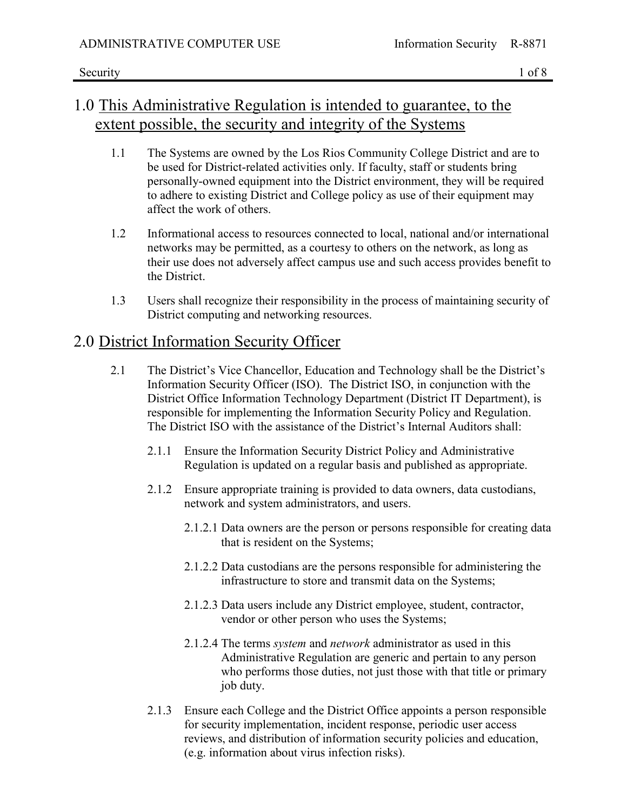### 1.0 This Administrative Regulation is intended to guarantee, to the extent possible, the security and integrity of the Systems

- 1.1 The Systems are owned by the Los Rios Community College District and are to be used for District-related activities only. If faculty, staff or students bring personally-owned equipment into the District environment, they will be required to adhere to existing District and College policy as use of their equipment may affect the work of others.
- 1.2 Informational access to resources connected to local, national and/or international networks may be permitted, as a courtesy to others on the network, as long as their use does not adversely affect campus use and such access provides benefit to the District.
- 1.3 Users shall recognize their responsibility in the process of maintaining security of District computing and networking resources.

### 2.0 District Information Security Officer

- 2.1 The District's Vice Chancellor, Education and Technology shall be the District's Information Security Officer (ISO). The District ISO, in conjunction with the District Office Information Technology Department (District IT Department), is responsible for implementing the Information Security Policy and Regulation. The District ISO with the assistance of the District's Internal Auditors shall:
	- 2.1.1 Ensure the Information Security District Policy and Administrative Regulation is updated on a regular basis and published as appropriate.
	- 2.1.2 Ensure appropriate training is provided to data owners, data custodians, network and system administrators, and users.
		- 2.1.2.1 Data owners are the person or persons responsible for creating data that is resident on the Systems;
		- 2.1.2.2 Data custodians are the persons responsible for administering the infrastructure to store and transmit data on the Systems;
		- 2.1.2.3 Data users include any District employee, student, contractor, vendor or other person who uses the Systems;
		- 2.1.2.4 The terms *system* and *network* administrator as used in this Administrative Regulation are generic and pertain to any person who performs those duties, not just those with that title or primary job duty.
	- 2.1.3 Ensure each College and the District Office appoints a person responsible for security implementation, incident response, periodic user access reviews, and distribution of information security policies and education, (e.g. information about virus infection risks).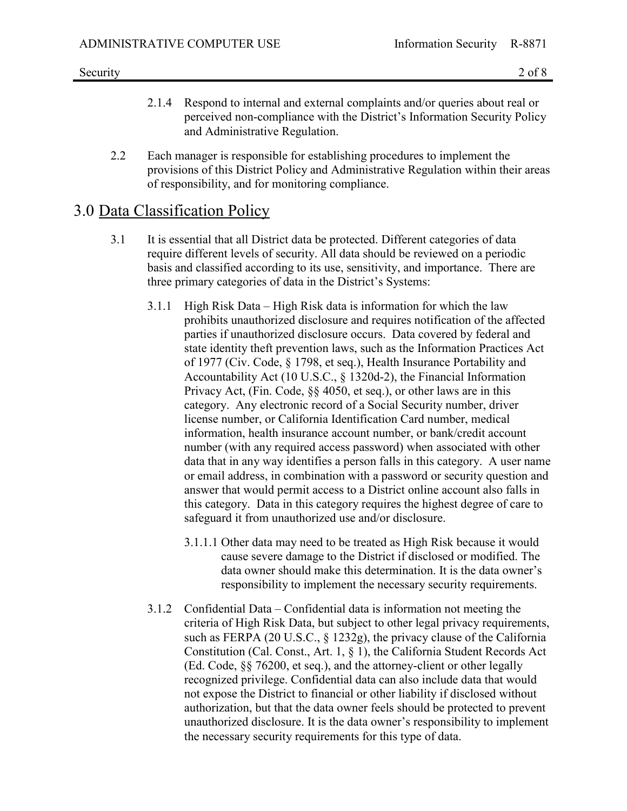- 2.1.4 Respond to internal and external complaints and/or queries about real or perceived non-compliance with the District's Information Security Policy and Administrative Regulation.
- 2.2 Each manager is responsible for establishing procedures to implement the provisions of this District Policy and Administrative Regulation within their areas of responsibility, and for monitoring compliance.

### 3.0 Data Classification Policy

- 3.1 It is essential that all District data be protected. Different categories of data require different levels of security. All data should be reviewed on a periodic basis and classified according to its use, sensitivity, and importance. There are three primary categories of data in the District's Systems:
	- 3.1.1 High Risk Data High Risk data is information for which the law prohibits unauthorized disclosure and requires notification of the affected parties if unauthorized disclosure occurs. Data covered by federal and state identity theft prevention laws, such as the Information Practices Act of 1977 (Civ. Code, § 1798, et seq.), Health Insurance Portability and Accountability Act (10 U.S.C., § 1320d-2), the Financial Information Privacy Act, (Fin. Code, §§ 4050, et seq.), or other laws are in this category. Any electronic record of a Social Security number, driver license number, or California Identification Card number, medical information, health insurance account number, or bank/credit account number (with any required access password) when associated with other data that in any way identifies a person falls in this category. A user name or email address, in combination with a password or security question and answer that would permit access to a District online account also falls in this category. Data in this category requires the highest degree of care to safeguard it from unauthorized use and/or disclosure.
		- 3.1.1.1 Other data may need to be treated as High Risk because it would cause severe damage to the District if disclosed or modified. The data owner should make this determination. It is the data owner's responsibility to implement the necessary security requirements.
	- 3.1.2 Confidential Data Confidential data is information not meeting the criteria of High Risk Data, but subject to other legal privacy requirements, such as FERPA (20 U.S.C., § 1232g), the privacy clause of the California Constitution (Cal. Const., Art. 1, § 1), the California Student Records Act (Ed. Code, §§ 76200, et seq.), and the attorney-client or other legally recognized privilege. Confidential data can also include data that would not expose the District to financial or other liability if disclosed without authorization, but that the data owner feels should be protected to prevent unauthorized disclosure. It is the data owner's responsibility to implement the necessary security requirements for this type of data.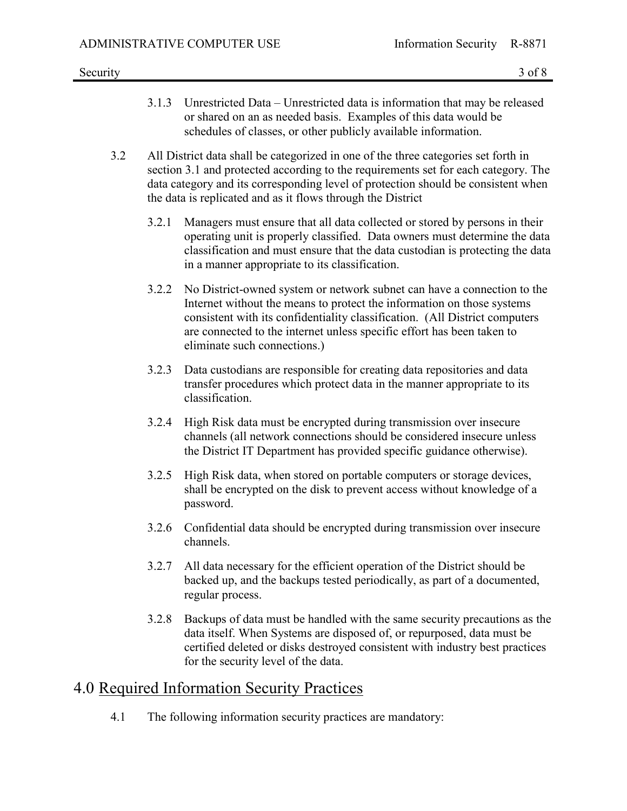- 3.1.3 Unrestricted Data Unrestricted data is information that may be released or shared on an as needed basis. Examples of this data would be schedules of classes, or other publicly available information.
- 3.2 All District data shall be categorized in one of the three categories set forth in section 3.1 and protected according to the requirements set for each category. The data category and its corresponding level of protection should be consistent when the data is replicated and as it flows through the District
	- 3.2.1 Managers must ensure that all data collected or stored by persons in their operating unit is properly classified. Data owners must determine the data classification and must ensure that the data custodian is protecting the data in a manner appropriate to its classification.
	- 3.2.2 No District-owned system or network subnet can have a connection to the Internet without the means to protect the information on those systems consistent with its confidentiality classification. (All District computers are connected to the internet unless specific effort has been taken to eliminate such connections.)
	- 3.2.3 Data custodians are responsible for creating data repositories and data transfer procedures which protect data in the manner appropriate to its classification.
	- 3.2.4 High Risk data must be encrypted during transmission over insecure channels (all network connections should be considered insecure unless the District IT Department has provided specific guidance otherwise).
	- 3.2.5 High Risk data, when stored on portable computers or storage devices, shall be encrypted on the disk to prevent access without knowledge of a password.
	- 3.2.6 Confidential data should be encrypted during transmission over insecure channels.
	- 3.2.7 All data necessary for the efficient operation of the District should be backed up, and the backups tested periodically, as part of a documented, regular process.
	- 3.2.8 Backups of data must be handled with the same security precautions as the data itself. When Systems are disposed of, or repurposed, data must be certified deleted or disks destroyed consistent with industry best practices for the security level of the data.

## 4.0 Required Information Security Practices

4.1 The following information security practices are mandatory: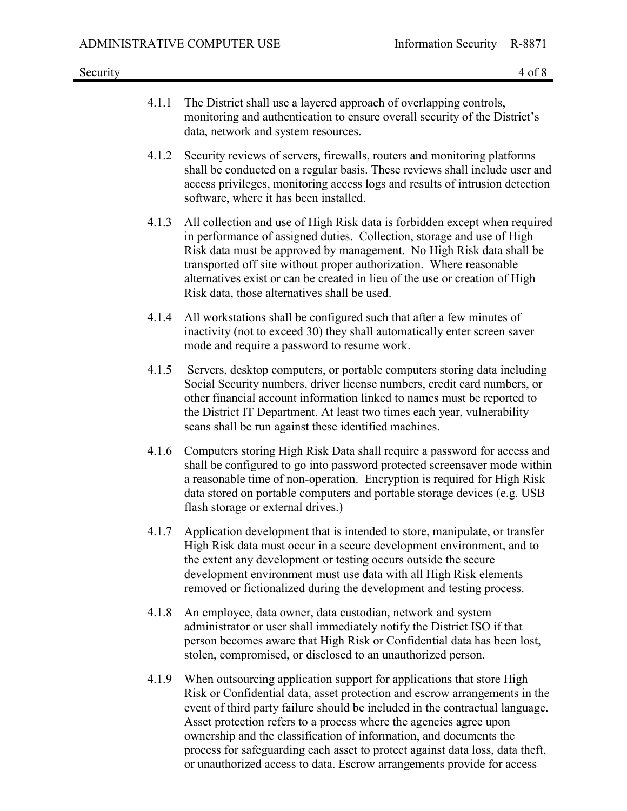- 4.1.1 The District shall use a layered approach of overlapping controls, monitoring and authentication to ensure overall security of the District's data, network and system resources.
- 4.1.2 Security reviews of servers, firewalls, routers and monitoring platforms shall be conducted on a regular basis. These reviews shall include user and access privileges, monitoring access logs and results of intrusion detection software, where it has been installed.
- 4.1.3 All collection and use of High Risk data is forbidden except when required in performance of assigned duties. Collection, storage and use of High Risk data must be approved by management. No High Risk data shall be transported off site without proper authorization. Where reasonable alternatives exist or can be created in lieu of the use or creation of High Risk data, those alternatives shall be used.
- 4.1.4 All workstations shall be configured such that after a few minutes of inactivity (not to exceed 30) they shall automatically enter screen saver mode and require a password to resume work.
- 4.1.5 Servers, desktop computers, or portable computers storing data including Social Security numbers, driver license numbers, credit card numbers, or other financial account information linked to names must be reported to the District IT Department. At least two times each year, vulnerability scans shall be run against these identified machines.
- 4.1.6 Computers storing High Risk Data shall require a password for access and shall be configured to go into password protected screensaver mode within a reasonable time of non-operation. Encryption is required for High Risk data stored on portable computers and portable storage devices (e.g. USB flash storage or external drives.)
- 4.1.7 Application development that is intended to store, manipulate, or transfer High Risk data must occur in a secure development environment, and to the extent any development or testing occurs outside the secure development environment must use data with all High Risk elements removed or fictionalized during the development and testing process.
- 4.1.8 An employee, data owner, data custodian, network and system administrator or user shall immediately notify the District ISO if that person becomes aware that High Risk or Confidential data has been lost, stolen, compromised, or disclosed to an unauthorized person.
- 4.1.9 When outsourcing application support for applications that store High Risk or Confidential data, asset protection and escrow arrangements in the event of third party failure should be included in the contractual language. Asset protection refers to a process where the agencies agree upon ownership and the classification of information, and documents the process for safeguarding each asset to protect against data loss, data theft, or unauthorized access to data. Escrow arrangements provide for access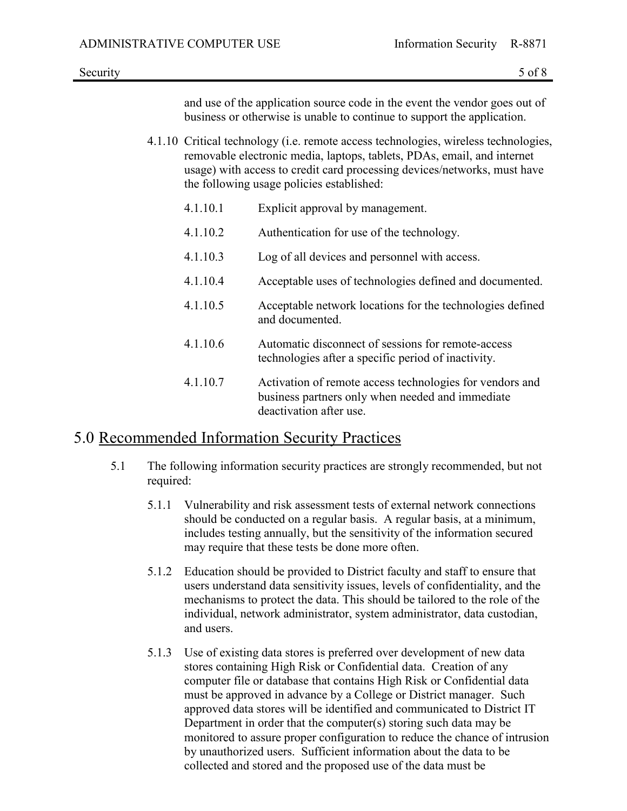and use of the application source code in the event the vendor goes out of business or otherwise is unable to continue to support the application.

- 4.1.10 Critical technology (i.e. remote access technologies, wireless technologies, removable electronic media, laptops, tablets, PDAs, email, and internet usage) with access to credit card processing devices/networks, must have the following usage policies established:
	- 4.1.10.1 Explicit approval by management.
	- 4.1.10.2 Authentication for use of the technology.
	- 4.1.10.3 Log of all devices and personnel with access.
	- 4.1.10.4 Acceptable uses of technologies defined and documented.
	- 4.1.10.5 Acceptable network locations for the technologies defined and documented.
	- 4.1.10.6 Automatic disconnect of sessions for remote-access technologies after a specific period of inactivity.
	- 4.1.10.7 Activation of remote access technologies for vendors and business partners only when needed and immediate deactivation after use.

#### 5.0 Recommended Information Security Practices

- 5.1 The following information security practices are strongly recommended, but not required:
	- 5.1.1 Vulnerability and risk assessment tests of external network connections should be conducted on a regular basis. A regular basis, at a minimum, includes testing annually, but the sensitivity of the information secured may require that these tests be done more often.
	- 5.1.2 Education should be provided to District faculty and staff to ensure that users understand data sensitivity issues, levels of confidentiality, and the mechanisms to protect the data. This should be tailored to the role of the individual, network administrator, system administrator, data custodian, and users.
	- 5.1.3 Use of existing data stores is preferred over development of new data stores containing High Risk or Confidential data. Creation of any computer file or database that contains High Risk or Confidential data must be approved in advance by a College or District manager. Such approved data stores will be identified and communicated to District IT Department in order that the computer(s) storing such data may be monitored to assure proper configuration to reduce the chance of intrusion by unauthorized users. Sufficient information about the data to be collected and stored and the proposed use of the data must be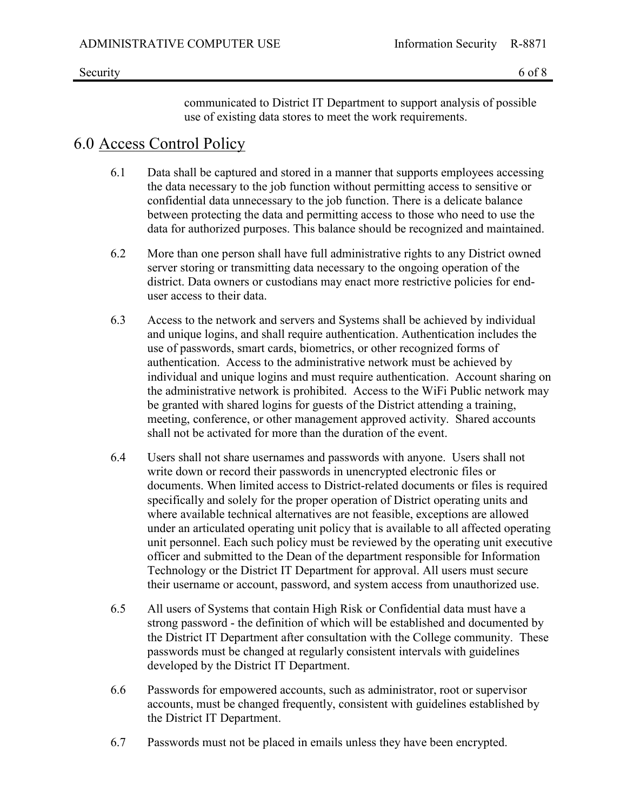communicated to District IT Department to support analysis of possible use of existing data stores to meet the work requirements.

## 6.0 Access Control Policy

- 6.1 Data shall be captured and stored in a manner that supports employees accessing the data necessary to the job function without permitting access to sensitive or confidential data unnecessary to the job function. There is a delicate balance between protecting the data and permitting access to those who need to use the data for authorized purposes. This balance should be recognized and maintained.
- 6.2 More than one person shall have full administrative rights to any District owned server storing or transmitting data necessary to the ongoing operation of the district. Data owners or custodians may enact more restrictive policies for enduser access to their data.
- 6.3 Access to the network and servers and Systems shall be achieved by individual and unique logins, and shall require authentication. Authentication includes the use of passwords, smart cards, biometrics, or other recognized forms of authentication. Access to the administrative network must be achieved by individual and unique logins and must require authentication. Account sharing on the administrative network is prohibited. Access to the WiFi Public network may be granted with shared logins for guests of the District attending a training, meeting, conference, or other management approved activity. Shared accounts shall not be activated for more than the duration of the event.
- 6.4 Users shall not share usernames and passwords with anyone. Users shall not write down or record their passwords in unencrypted electronic files or documents. When limited access to District-related documents or files is required specifically and solely for the proper operation of District operating units and where available technical alternatives are not feasible, exceptions are allowed under an articulated operating unit policy that is available to all affected operating unit personnel. Each such policy must be reviewed by the operating unit executive officer and submitted to the Dean of the department responsible for Information Technology or the District IT Department for approval. All users must secure their username or account, password, and system access from unauthorized use.
- 6.5 All users of Systems that contain High Risk or Confidential data must have a strong password - the definition of which will be established and documented by the District IT Department after consultation with the College community. These passwords must be changed at regularly consistent intervals with guidelines developed by the District IT Department.
- 6.6 Passwords for empowered accounts, such as administrator, root or supervisor accounts, must be changed frequently, consistent with guidelines established by the District IT Department.
- 6.7 Passwords must not be placed in emails unless they have been encrypted.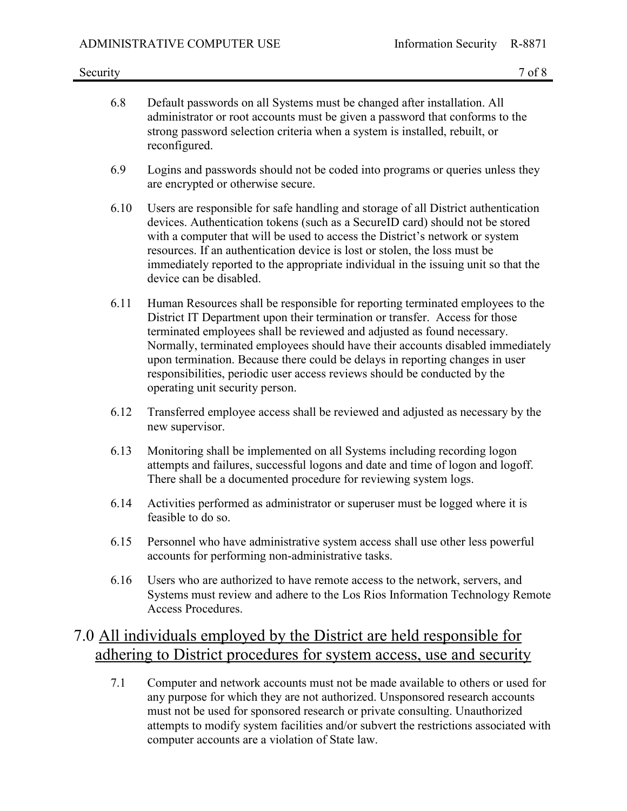- 6.8 Default passwords on all Systems must be changed after installation. All administrator or root accounts must be given a password that conforms to the strong password selection criteria when a system is installed, rebuilt, or reconfigured.
- 6.9 Logins and passwords should not be coded into programs or queries unless they are encrypted or otherwise secure.
- 6.10 Users are responsible for safe handling and storage of all District authentication devices. Authentication tokens (such as a SecureID card) should not be stored with a computer that will be used to access the District's network or system resources. If an authentication device is lost or stolen, the loss must be immediately reported to the appropriate individual in the issuing unit so that the device can be disabled.
- 6.11 Human Resources shall be responsible for reporting terminated employees to the District IT Department upon their termination or transfer. Access for those terminated employees shall be reviewed and adjusted as found necessary. Normally, terminated employees should have their accounts disabled immediately upon termination. Because there could be delays in reporting changes in user responsibilities, periodic user access reviews should be conducted by the operating unit security person.
- 6.12 Transferred employee access shall be reviewed and adjusted as necessary by the new supervisor.
- 6.13 Monitoring shall be implemented on all Systems including recording logon attempts and failures, successful logons and date and time of logon and logoff. There shall be a documented procedure for reviewing system logs.
- 6.14 Activities performed as administrator or superuser must be logged where it is feasible to do so.
- 6.15 Personnel who have administrative system access shall use other less powerful accounts for performing non-administrative tasks.
- 6.16 Users who are authorized to have remote access to the network, servers, and Systems must review and adhere to the Los Rios Information Technology Remote Access Procedures.

## 7.0 All individuals employed by the District are held responsible for adhering to District procedures for system access, use and security

7.1 Computer and network accounts must not be made available to others or used for any purpose for which they are not authorized. Unsponsored research accounts must not be used for sponsored research or private consulting. Unauthorized attempts to modify system facilities and/or subvert the restrictions associated with computer accounts are a violation of State law.